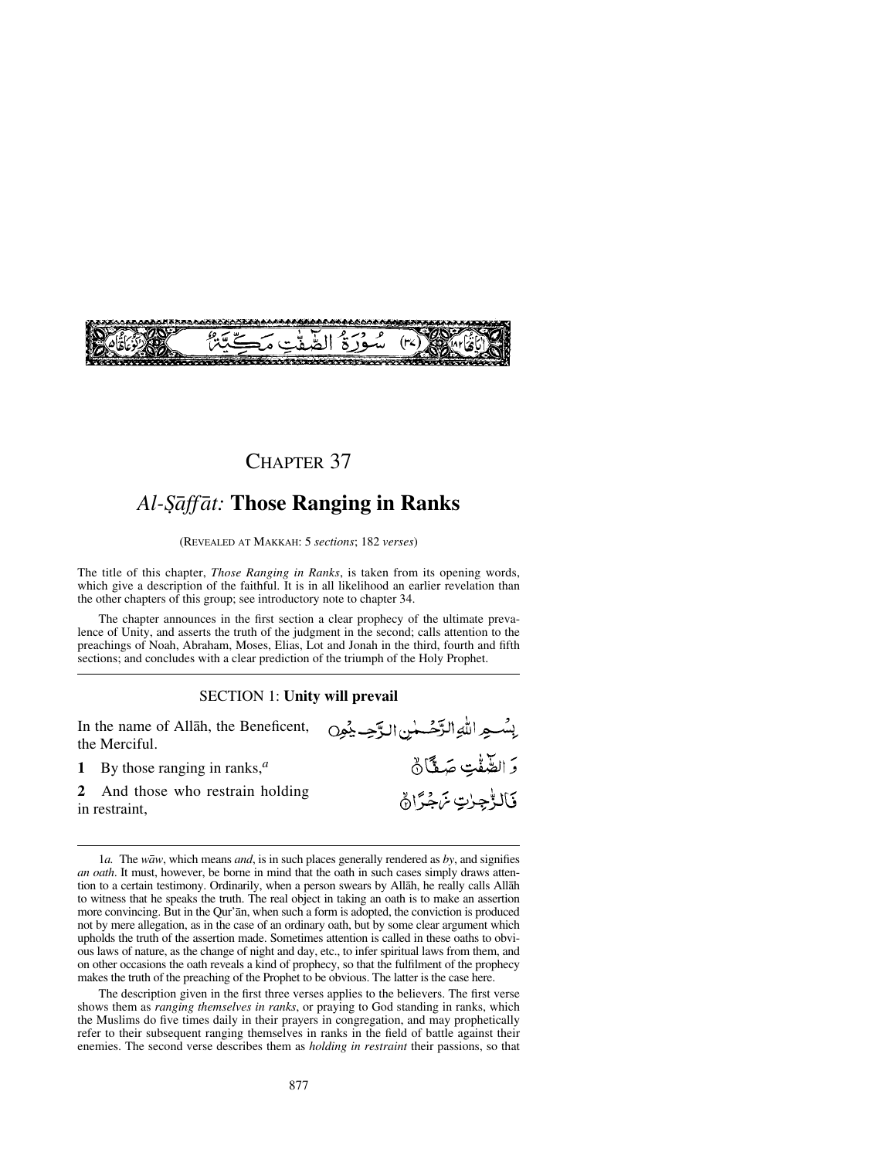

## CHAPTER 37

# *Al-˝åffåt:* **Those Ranging in Ranks**

(REVEALED AT MAKKAH: 5 *sections*; 182 *verses*)

The title of this chapter, *Those Ranging in Ranks*, is taken from its opening words, which give a description of the faithful. It is in all likelihood an earlier revelation than the other chapters of this group; see introductory note to chapter 34.

The chapter announces in the first section a clear prophecy of the ultimate prevalence of Unity, and asserts the truth of the judgment in the second; calls attention to the preachings of Noah, Abraham, Moses, Elias, Lot and Jonah in the third, fourth and fifth sections; and concludes with a clear prediction of the triumph of the Holy Prophet.

### SECTION 1: **Unity will prevail**

إِسْسِهِ اللَّهِ الزَّحْسَسِٰ الزَّحِسِ يُهِن

وَ الصَّفْتِ صَفَّانٌ

فبالماجيات يزيجه أالهي

In the name of Allåh, the Beneficent, the Merciful.

- **1** By those ranging in ranks,*<sup>a</sup>*
- **2** And those who restrain holding in restraint,

The description given in the first three verses applies to the believers. The first verse shows them as *ranging themselves in ranks*, or praying to God standing in ranks, which the Muslims do five times daily in their prayers in congregation, and may prophetically refer to their subsequent ranging themselves in ranks in the field of battle against their enemies. The second verse describes them as *holding in restraint* their passions, so that

<sup>1</sup>*a.* The *wåw*, which means *and*, is in such places generally rendered as *by*, and signifies *an oath*. It must, however, be borne in mind that the oath in such cases simply draws attention to a certain testimony. Ordinarily, when a person swears by Allåh, he really calls Allåh to witness that he speaks the truth. The real object in taking an oath is to make an assertion more convincing. But in the Qur'ån, when such a form is adopted, the conviction is produced not by mere allegation, as in the case of an ordinary oath, but by some clear argument which upholds the truth of the assertion made. Sometimes attention is called in these oaths to obvious laws of nature, as the change of night and day, etc., to infer spiritual laws from them, and on other occasions the oath reveals a kind of prophecy, so that the fulfilment of the prophecy makes the truth of the preaching of the Prophet to be obvious. The latter is the case here.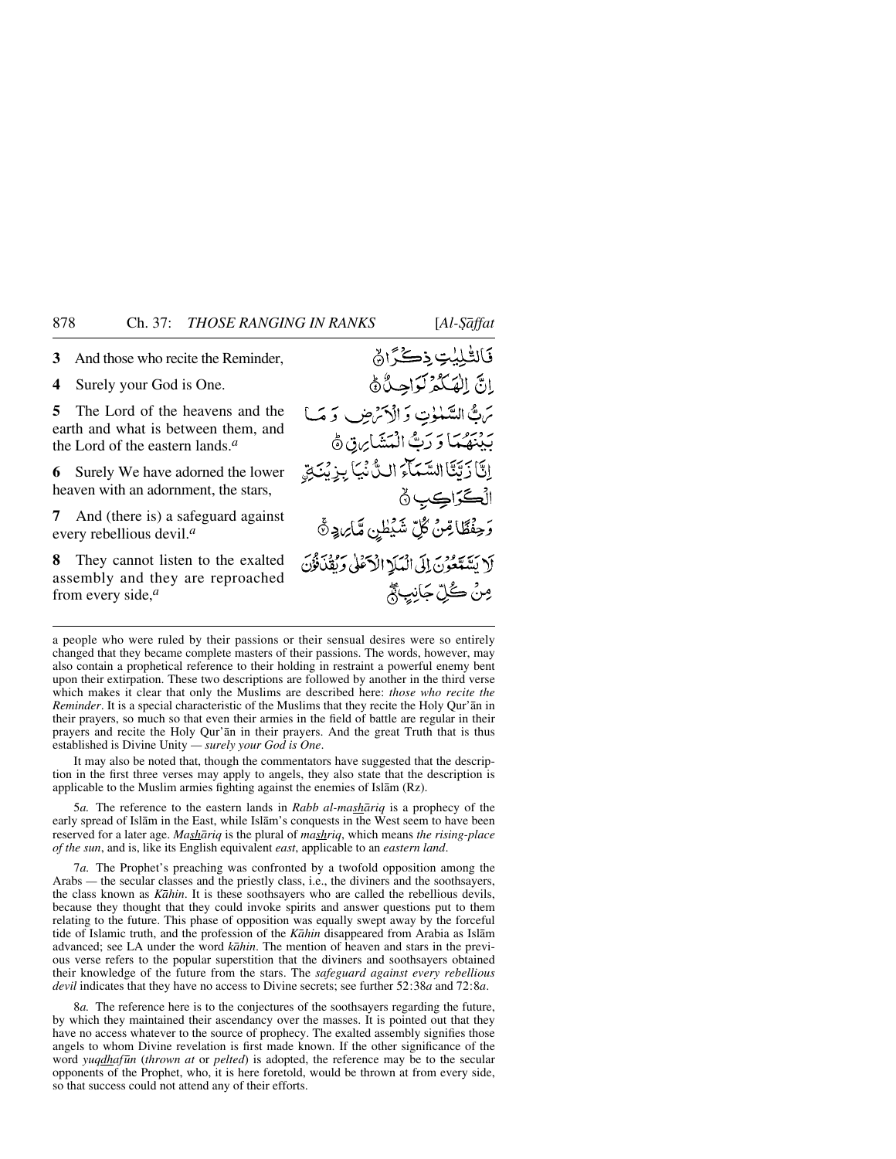**3** And those who recite the Reminder,

**4** Surely your God is One.

**5** The Lord of the heavens and the earth and what is between them, and the Lord of the eastern lands.*<sup>a</sup>*

**6** Surely We have adorned the lower heaven with an adornment, the stars,

**7** And (there is) a safeguard against every rebellious devil.*<sup>a</sup>*

**8** They cannot listen to the exalted assembly and they are reproached from every side,*<sup>a</sup>*

فَالِقْلِيْتِ ذِكْرًاهُ انَّ الْهَكْمُ لَوَاحِدٌ هُ مَنْ السَّعْوٰتِ وَالْأَمْرَضِ وَمَا بِهِ بِمَعْمَا وَ رَبُّ الْمَشَايِرَةِ ﴾ إِنَّا زَيَّتَا السَّمَاءَ الِّ نُمِيَا بِيزِ بُنَجَ الۡڪَرَاڪِبِ ۞ وَحِفْظَاهِنْ كُلِّ شَيْطِنِ مَّارِ وَ هَ لَا يَشَدَّعُونَ إِلَى الْمَلَا الْآعَلَىٰ وَثَقَدْنُوْنَ مِنْ كُلِّ جَانِبِ مَّ

a people who were ruled by their passions or their sensual desires were so entirely changed that they became complete masters of their passions. The words, however, may also contain a prophetical reference to their holding in restraint a powerful enemy bent upon their extirpation. These two descriptions are followed by another in the third verse which makes it clear that only the Muslims are described here: *those who recite the Reminder*. It is a special characteristic of the Muslims that they recite the Holy Qur'ån in their prayers, so much so that even their armies in the field of battle are regular in their prayers and recite the Holy Qur'ån in their prayers. And the great Truth that is thus established is Divine Unity *— surely your God is One*.

It may also be noted that, though the commentators have suggested that the description in the first three verses may apply to angels, they also state that the description is applicable to the Muslim armies fighting against the enemies of Islåm (Rz).

5*a.* The reference to the eastern lands in *Rabb al-mashåriq* is a prophecy of the early spread of Islåm in the East, while Islåm's conquests in the West seem to have been reserved for a later age. *Mashåriq* is the plural of *mashriq*, which means *the rising-place of the sun*, and is, like its English equivalent *east*, applicable to an *eastern land*.

7*a.* The Prophet's preaching was confronted by a twofold opposition among the Arabs *—* the secular classes and the priestly class, i.e., the diviners and the soothsayers, the class known as *Kåhin*. It is these soothsayers who are called the rebellious devils, because they thought that they could invoke spirits and answer questions put to them relating to the future. This phase of opposition was equally swept away by the forceful tide of Islamic truth, and the profession of the *Kåhin* disappeared from Arabia as Islåm advanced; see LA under the word *kåhin*. The mention of heaven and stars in the previous verse refers to the popular superstition that the diviners and soothsayers obtained their knowledge of the future from the stars. The *safeguard against every rebellious devil* indicates that they have no access to Divine secrets; see further 52:38*a* and 72:8*a*.

8*a.* The reference here is to the conjectures of the soothsayers regarding the future, by which they maintained their ascendancy over the masses. It is pointed out that they have no access whatever to the source of prophecy. The exalted assembly signifies those angels to whom Divine revelation is first made known. If the other significance of the word *yuqdhaf∂n* (*thrown at* or *pelted*) is adopted, the reference may be to the secular opponents of the Prophet, who, it is here foretold, would be thrown at from every side, so that success could not attend any of their efforts.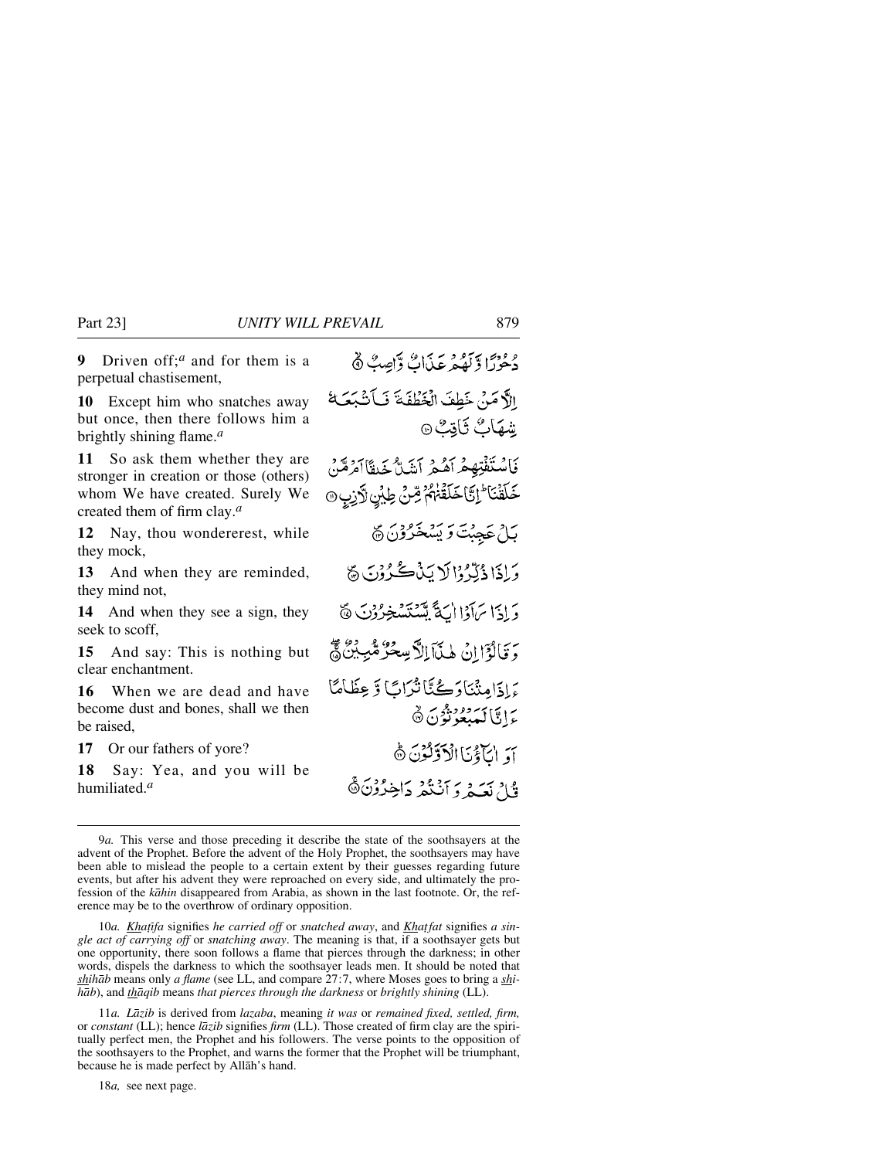**9** Driven off;*<sup>a</sup>* and for them is a perpetual chastisement,

**10** Except him who snatches away but once, then there follows him a brightly shining flame.*<sup>a</sup>*

**11** So ask them whether they are stronger in creation or those (others) whom We have created. Surely We created them of firm clay.*<sup>a</sup>*

**12** Nay, thou wondererest, while they mock,

**13** And when they are reminded, they mind not,

**14** And when they see a sign, they seek to scoff,

**15** And say: This is nothing but clear enchantment.

**16** When we are dead and have become dust and bones, shall we then be raised,

**17** Or our fathers of yore?

**18** Say: Yea, and you will be humiliated.*<sup>a</sup>*

وْحِرْدًا وَلَهُمْ عَذَاتٌ وَاصِبٌ ﴾ الآمَنْ خَطِفَ الْخَطْفَةَ فَبِأَنْبَعَتَكَ شهَابٌ ثَاقِبٌ ۞ فَاسْتَفْتِهِمْ أَهْمِ أَشَلَّ خَيفًا أَمْرَهَنّ ڂؘڶڨؘڹؘٵ<sup>ٙ</sup>ٳؾٞٳڂؘڶڡۘٙٞڂ؋ٛ؞ۭٚڞؚؽٙ ڟۣؽؗڹۣ۞ڗڒڹۣۭ۞ بَاثِرِ عَجِبَتَ وَيَسْخَرُوْنَ ۞ وَإِذَا ذُكِّرُوْا لَا يَذْكُرُوْنَ ﴾ دَادَا بِرَادَا اللَّهَ يَسْتَسْخِرُوْنَ ﴾ وَقَالُوَّا إِنْ هٰذَآ اِلَّا سِحْرٌ مُّبِّ بِنَ هُمْ بَدادَامِنْنَادَڪُنَّانْدُابَا وَعِظَامَا رايا كەرەردۇن ئ أَوَ الْتَأْتُّ الْأَوَّلُّوْنَ ﴾ دي تحيد و آنگفر داخ<sup>رون ه</sup>

10*a. KhaƧfa* signifies *he carried off* or *snatched away*, and *Kha∆fat* signifies *a single act of carrying off* or *snatching away*. The meaning is that, if a soothsayer gets but one opportunity, there soon follows a flame that pierces through the darkness; in other words, dispels the darkness to which the soothsayer leads men. It should be noted that *shihåb* means only *a flame* (see LL, and compare 27:7, where Moses goes to bring a *shihåb*), and *thåqib* means *that pierces through the darkness* or *brightly shining* (LL).

11*a. Låzib* is derived from *lazaba*, meaning *it was* or *remained fixed, settled, firm,* or *constant* (LL); hence *låzib* signifies *firm* (LL). Those created of firm clay are the spiritually perfect men, the Prophet and his followers. The verse points to the opposition of the soothsayers to the Prophet, and warns the former that the Prophet will be triumphant, because he is made perfect by Allåh's hand.

18*a,* see next page.

<sup>9</sup>*a.* This verse and those preceding it describe the state of the soothsayers at the advent of the Prophet. Before the advent of the Holy Prophet, the soothsayers may have been able to mislead the people to a certain extent by their guesses regarding future events, but after his advent they were reproached on every side, and ultimately the profession of the *kåhin* disappeared from Arabia, as shown in the last footnote. Or, the reference may be to the overthrow of ordinary opposition.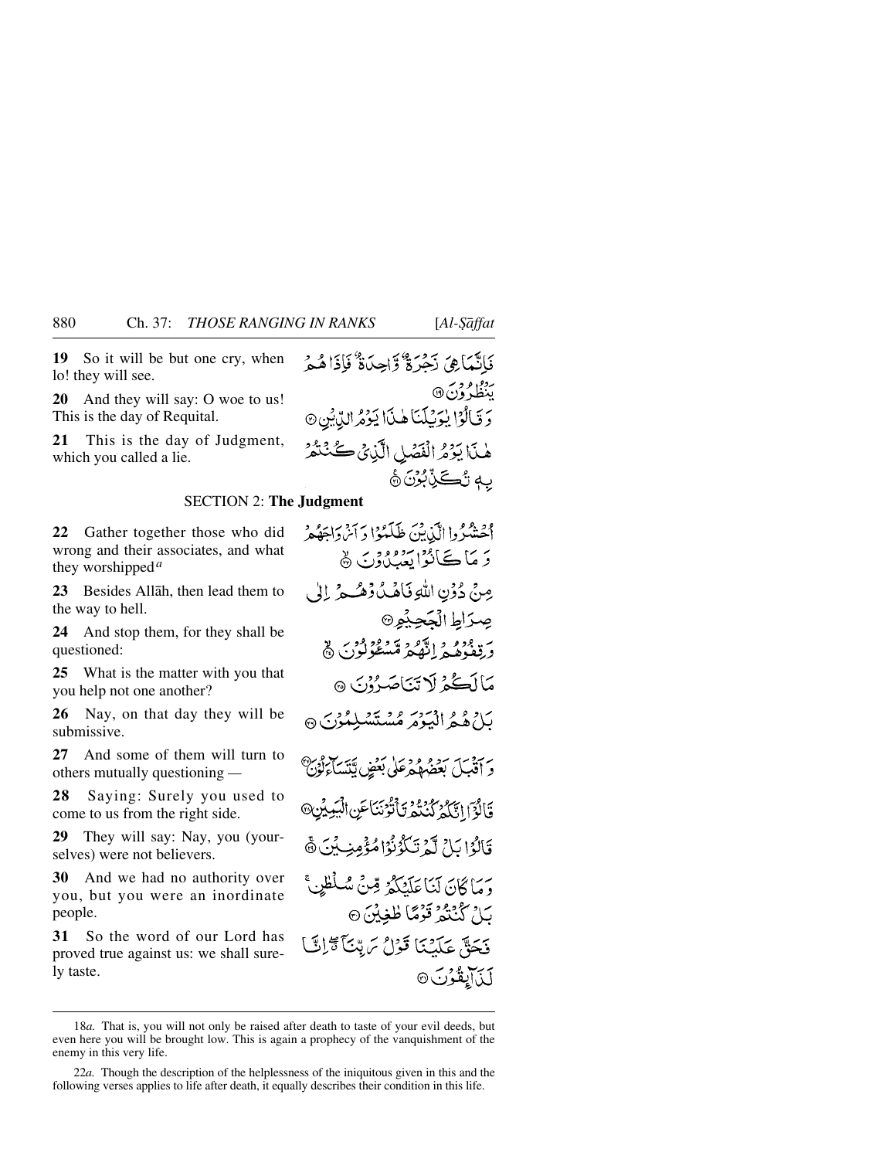**19** So it will be but one cry, when lo! they will see.

**20** And they will say: O woe to us! This is the day of Requital.

**21** This is the day of Judgment, which you called a lie.

فَاتَّمَاهِيَ ذَجْرَةٌ وَّاحِدَةٌ فَإِذَاهُمْ بردوره<br>پنظرون@ وَقَالُوْا يُوَيُّلَنَا هٰذَا يَؤْمُرالِّدِيْنِ۞ هٰنَا يَوۡمُ الۡفَصَٰلِ الَّذِيۡ ڪُنۡنَمۡدُ بِهِ تُكَرِّبُرُنَ ۞

## SECTION 2: **The Judgment**

**22** Gather together those who did wrong and their associates, and what they worshipped*<sup>a</sup>*

**23** Besides Allåh, then lead them to the way to hell.

**24** And stop them, for they shall be questioned:

**25** What is the matter with you that you help not one another?

**26** Nay, on that day they will be submissive.

**27** And some of them will turn to others mutually questioning *—*

**28** Saying: Surely you used to come to us from the right side.

**29** They will say: Nay, you (yourselves) were not believers.

**30** And we had no authority over you, but you were an inordinate people.

**31** So the word of our Lord has proved true against us: we shall surely taste.

الحشكروا الآن بن طَلَبُوْا دَ أَيْرِدَاهَهُمْ

رَ مَاڪَانُوَايَةِ مِيْدُونَ ۾ مِنْ دُوۡنِ اللَّهِ فَاهُكُ وۡهُـُـوۡ ۚ إِلَىٰ صِرَاطِ الْجَحِبْمِ® وَ قِعْدُهُ فِي اللَّّهُ مِ مَتَسْتَكُولُونَ ۞ مَاأَڪُ پُر لَا تَهَاصَبُوْنَ هُ بَلْ هُهُ الْهَيْوَ مُسْتَسْلِمُوْنِ ۞ رَ آَقَيِلَ بَعْضُهُمْ عَلَى بَعْضٍ بَيْنَسَاءِكُوْنَ قَالُوَۤٳٳؾَّكُمُّ كُنْتُمُّرِؾَٱتُّوۡنَنَاعَنِ ٱلۡبَٰٓبِيَّزِ قَالَوْا بَلِيِّ لَّهُ تَكْوُنُوْاهُ وَمِنِ بِّنَ ۞ وَ مَا كَانَ لَنَا عَلَيْكُمْ قِنْ سُلْطَنٍ ۚ بَ\ُ كُنْتُمْ قَوْمًا طُغِيْنَ۞ فَحَقٌّ عَلَيْنَا قَوْلُ يَرِيّنَاً تَرَاتَيْ لَذَآبِقُوْنَ©

<sup>18</sup>*a.* That is, you will not only be raised after death to taste of your evil deeds, but even here you will be brought low. This is again a prophecy of the vanquishment of the enemy in this very life.

<sup>22</sup>*a.* Though the description of the helplessness of the iniquitous given in this and the following verses applies to life after death, it equally describes their condition in this life.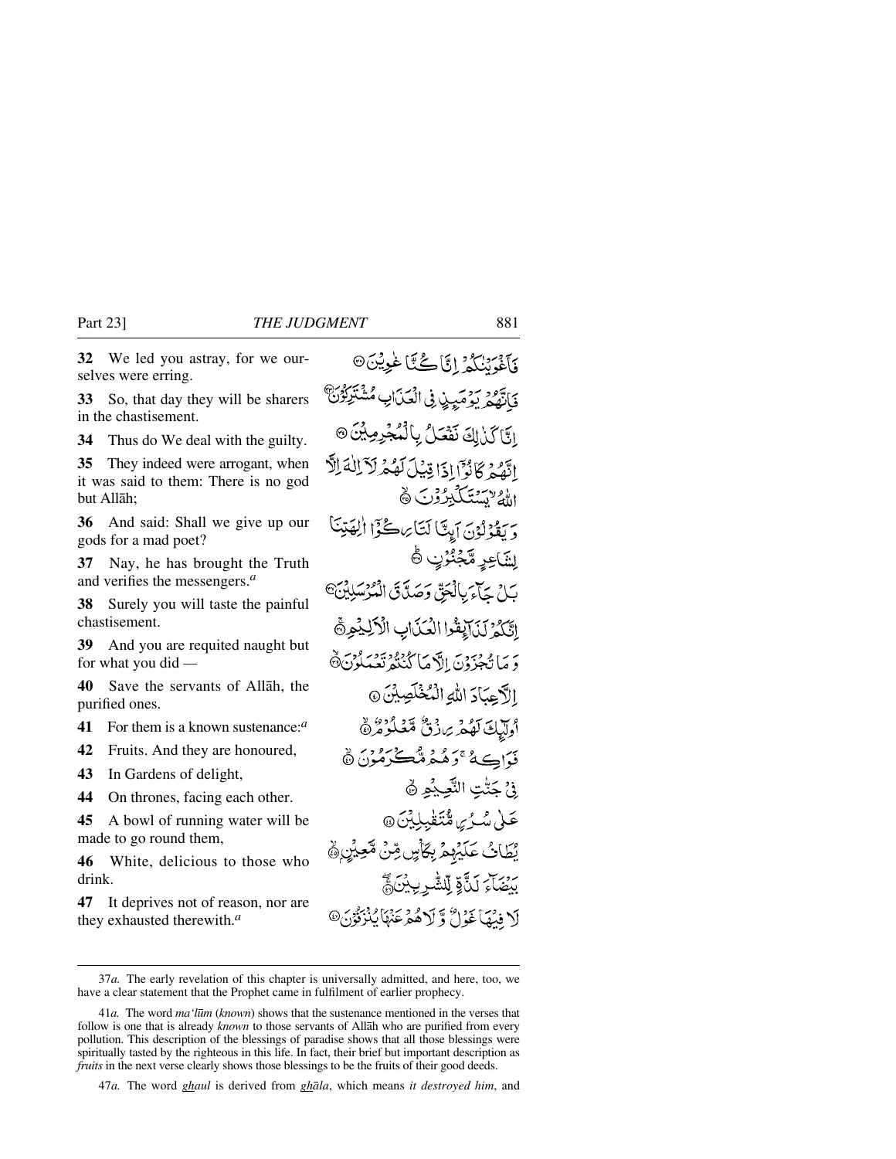**32** We led you astray, for we ourselves were erring.

**33** So, that day they will be sharers in the chastisement.

**34** Thus do We deal with the guilty.

**35** They indeed were arrogant, when it was said to them: There is no god but Allåh;

**36** And said: Shall we give up our gods for a mad poet?

**37** Nay, he has brought the Truth and verifies the messengers.*<sup>a</sup>*

**38** Surely you will taste the painful chastisement.

**39** And you are requited naught but for what you did *—*

**40** Save the servants of Allåh, the purified ones.

**41** For them is a known sustenance:*<sup>a</sup>*

**42** Fruits. And they are honoured,

**43** In Gardens of delight,

**44** On thrones, facing each other.

**45** A bowl of running water will be made to go round them,

**46** White, delicious to those who drink.

**47** It deprives not of reason, nor are they exhausted therewith.*<sup>a</sup>*

وَ تَوْسُرُدُ إِنَّا كُنَّا غُوِيْنَ۞ حود سوميدن في العناي مشتركون ابَّا كَنْ لِكَ نَفْعَلُ بِالْمُجْرِمِينَ @ اتَّهُمْ كَانُوَّا إِذَا قِيْلَ لَهُمْ لَآ اللَّهَ الَّ الأولاية يتكبرون ١ وَ بِقَدْلَوْنَ أَبِيًّا لَتَأْرِ كُنَّوْا الْقَدِّينَا لشَّاعِرِ مَّجْنُوُنِ ۞ لَّلِّ حَيْرَ بِالْحَقِّ وَصَدَّقَ الْمُرْسَلِيْنَ<sup>@</sup> اتَّكَدُّ لَيْدَاءِقُوا الْعَنَّابِ الْأَلِيْمِرِدَّ دَ مَا تُجْزَدُنَ إِلَّا مَا كُنْنُهُ نَعْبَدُنَ ۞ الأحيادَ الله الْمُخْلَصِيْنَ @ وكالحاك تفكر برازق متعكوه ثوث فياڪهُ عَوَهُ مُدَمَّتُ شَڪْرَهُ دِيَ هُ فيُ جَنّْتِ النَّحِيْهِ ﴾ عَلَىٰ مُسْرُسٍ مُنْتَقْبِلِيْنَ۞ يْطَابُ عَلَيْهِمْ بِكَأْسٍ مِّنْ مُّحِيِّنِ۞ بِرْبِهِمْ كَذَّةٍ لِلشَّرِيبِيْنَ مَنْ أَ\ فِيَمَا غَوْلٌ وَّ لَا هُمْ عَنْهَا يُذْبَقُوْنَ @

47*a.* The word *ghaul* is derived from *ghåla*, which means *it destroyed him*, and

<sup>37</sup>*a.* The early revelation of this chapter is universally admitted, and here, too, we have a clear statement that the Prophet came in fulfilment of earlier prophecy.

<sup>41</sup>*a.* The word *ma'l∂m* (*known*) shows that the sustenance mentioned in the verses that follow is one that is already *known* to those servants of Allåh who are purified from every pollution. This description of the blessings of paradise shows that all those blessings were spiritually tasted by the righteous in this life. In fact, their brief but important description as *fruits* in the next verse clearly shows those blessings to be the fruits of their good deeds.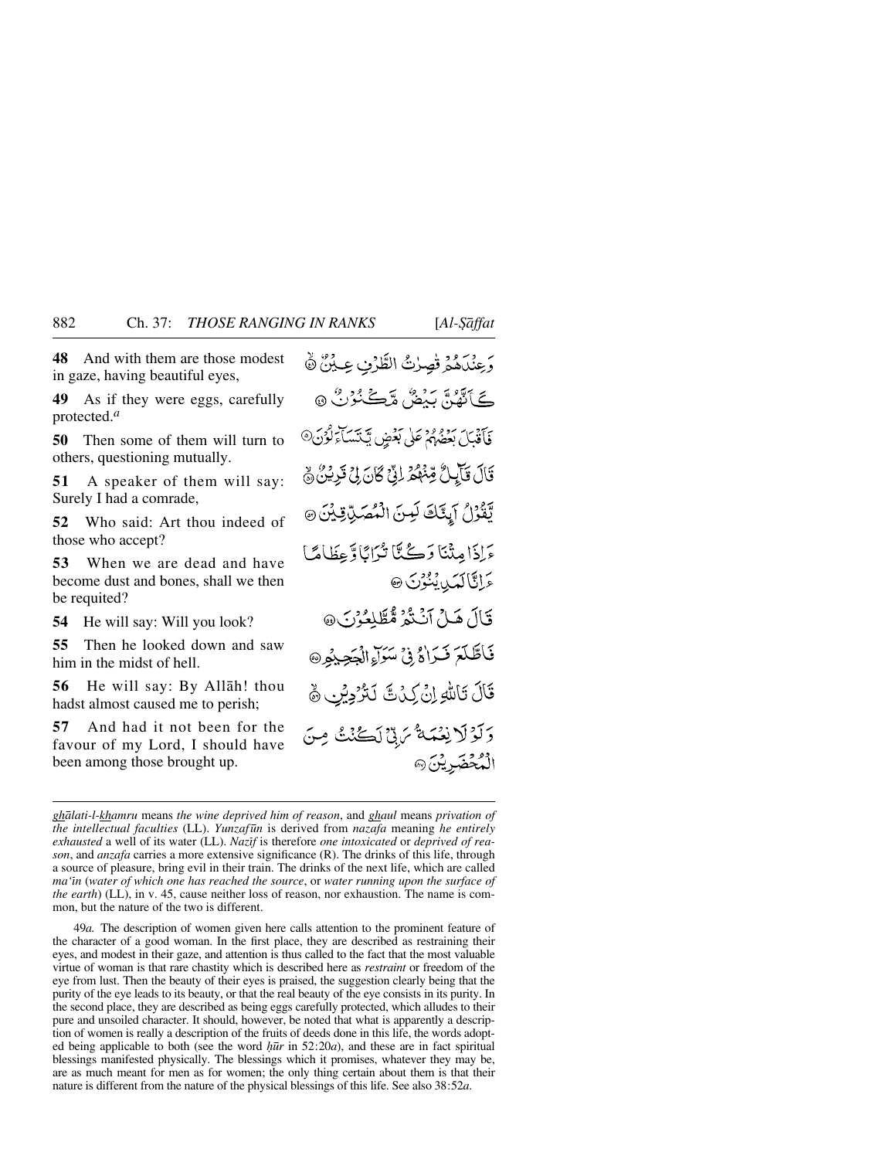**48** And with them are those modest in gaze, having beautiful eyes,

**49** As if they were eggs, carefully protected.*<sup>a</sup>*

**50** Then some of them will turn to others, questioning mutually.

**51** A speaker of them will say: Surely I had a comrade,

**52** Who said: Art thou indeed of those who accept?

**53** When we are dead and have become dust and bones, shall we then be requited?

**54** He will say: Will you look?

**55** Then he looked down and saw him in the midst of hell.

**56** He will say: By Allåh! thou hadst almost caused me to perish;

**57** And had it not been for the favour of my Lord, I should have been among those brought up.

رِ عِنْدَهُمُ قَصِرْتُ الطَّرْبِ عِيْنٌ ﴾ گَ أَيُّمَنَّ بَيْضٌ مَّڪَ ُرُكُ ۞ فَأَقْبَلَ بَعْضَهُمْ عَلَى بَعْضٍ يَّكْتَسَأَءَلُّوْنَ@ قَالَ قَأَيِلٌ قِنْهُمْ لِنِّ كَانَ لِيٍّ قَرِيْنٌ ﴾ يَّقُوْلُ آيِنَّكَ لَبِينَ الْمُصَلِّ قِيْنَ @ ءَاذَامِنْنَا دَڪُنَّا تُرَانَاوٌ عِظَامًا عَمِّاتَالَمَنِ يُنُوُنَ @ قَالَ هَـلُ آنَـٰتُمُ مُّطَّلِعُوْنَ @ فَأَطَّلَعَ فَيَرَاهُ فِي سَرَاءِ الْجَحِيْمِ ۞ قَالَ تَأْلِيُّهِ إِنْ كِنْ مَّ لَتَرْدِيْنِ ﴾ وَلَوْلَا نِعْمَةٌ مَرِقٌ لَكُنْتُ مِنَ الْمُحْضَرِيْنَ @

49*a.* The description of women given here calls attention to the prominent feature of the character of a good woman. In the first place, they are described as restraining their eyes, and modest in their gaze, and attention is thus called to the fact that the most valuable virtue of woman is that rare chastity which is described here as *restraint* or freedom of the eye from lust. Then the beauty of their eyes is praised, the suggestion clearly being that the purity of the eye leads to its beauty, or that the real beauty of the eye consists in its purity. In the second place, they are described as being eggs carefully protected, which alludes to their pure and unsoiled character. It should, however, be noted that what is apparently a description of women is really a description of the fruits of deeds done in this life, the words adopted being applicable to both (see the word  $h\bar{u}r$  in 52:20*a*), and these are in fact spiritual blessings manifested physically. The blessings which it promises, whatever they may be, are as much meant for men as for women; the only thing certain about them is that their nature is different from the nature of the physical blessings of this life. See also 38:52*a*.

*ghålati-l-khamru* means *the wine deprived him of reason*, and *ghaul* means *privation of the intellectual faculties* (LL). *Yunzaf∂n* is derived from *nazafa* meaning *he entirely* exhausted a well of its water (LL). *Nazif* is therefore *one intoxicated* or *deprived* of rea*son*, and *anzafa* carries a more extensive significance (R). The drinks of this life, through a source of pleasure, bring evil in their train. The drinks of the next life, which are called *ma'ßn* (*water of which one has reached the source*, or *water running upon the surface of the earth*) (LL), in v. 45, cause neither loss of reason, nor exhaustion. The name is common, but the nature of the two is different.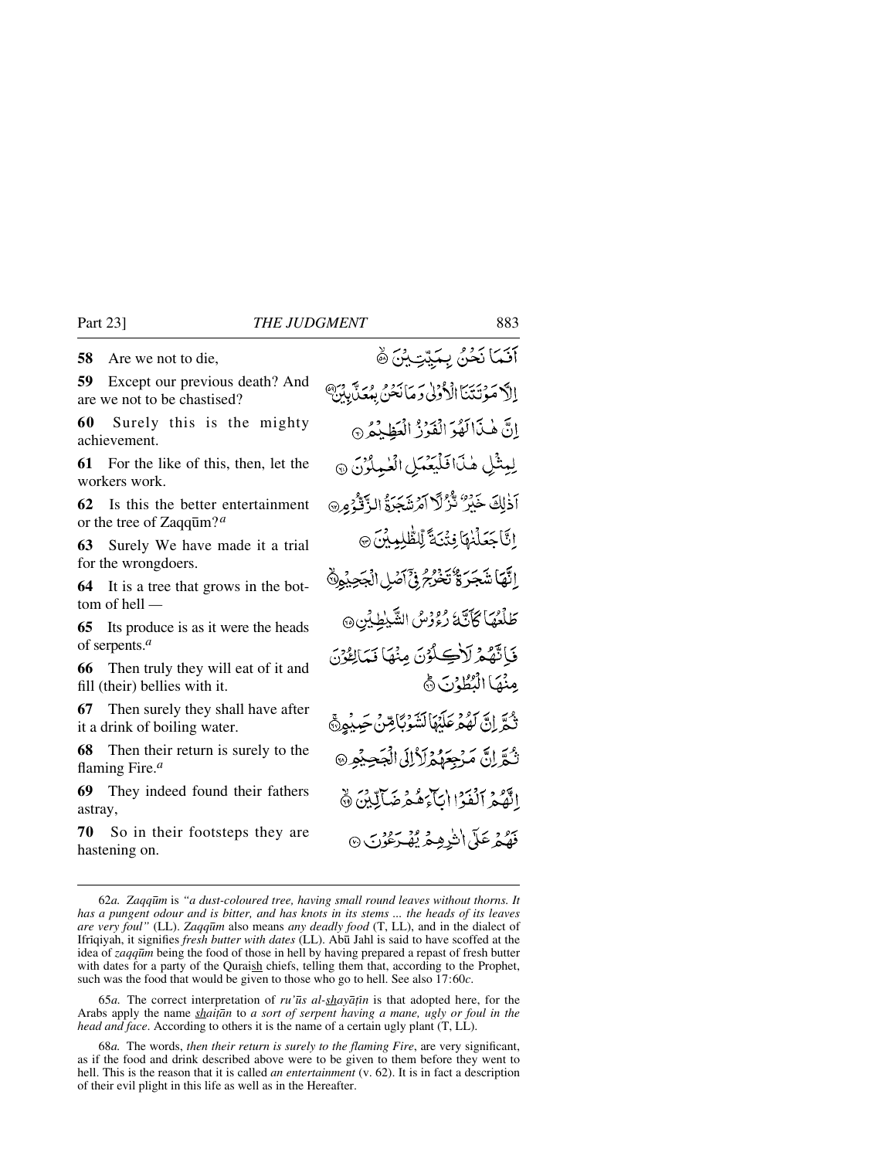**58** Are we not to die,

**59** Except our previous death? And are we not to be chastised?

**60** Surely this is the mighty achievement.

**61** For the like of this, then, let the workers work.

**62** Is this the better entertainment or the tree of Zaqq∂m?*<sup>a</sup>*

**63** Surely We have made it a trial for the wrongdoers.

**64** It is a tree that grows in the bottom of hell *—*

**65** Its produce is as it were the heads of serpents.*<sup>a</sup>*

**66** Then truly they will eat of it and fill (their) bellies with it.

**67** Then surely they shall have after it a drink of boiling water.

**68** Then their return is surely to the flaming Fire.*<sup>a</sup>*

**69** They indeed found their fathers astray,

**70** So in their footsteps they are hastening on.

آنَمَا نَحْنُ بِمَيِّتِيْنَ ﴾ إِلاَّ مَوْتَتَنَآ الْأَوْلِىٰ وَمَانَحْنُّ بِمُعَنَّبِيْنَ ۗ انَّ هٰذَاكَهُوَ الْفَوْزُ الْعَظِيْمُ ۞ لِيثْلِ هٰذَافَلْيَعُمَلِ الْعٰلِمُوْنَ ٢ اَذٰلِكَ خَبْرٌ نُّزُلًا اَمْرَشَجَرَةُ الزَّقْرُمِرِ۞ الَّاجَعَلْنِهَا فِتَيَةً لِّلطَّلِيلِينَ @ ٳٮ۠ۜۿٵۺؘڿڒٷٛؾؘٷ*ڋ*ۏۣ۬ٙٲڞڸ١ڶڿڿؽ۫ۅۣؖ۞ طَلَعُهَا كَأَنَّهُ رُؤُوسُ الشَّيْطِيُّنِ @ فَاتَّهُمْ لَأَكِلُوْنَ مِنْهَا نَمَالِعُوْنَ مِنْهَا الْتُطْوُنَ ﴾ ثُمَّرِ إِنَّ لَهُمْ عَلَيْهَا لَشَوْبَائِصْ جَبِيْهِنَّ تُدَّرِانَّ مَرْجِعَهُمْ لَأَلِّلَىٰ الْجَحِيْمِ الَّهُمُ آلَفَوْا إِيَاءَهُمْ ضَآلِينَ ﴾ فَهُكُمْ عَلَى اٰ شَٰرِهِيمُ يُهْدِعُوْنَ ۞

65*a.* The correct interpretation of *ru'∂s al-shayå∆ßn* is that adopted here, for the Arabs apply the name *shaiƌn* to *a sort of serpent having a mane, ugly or foul in the head and face*. According to others it is the name of a certain ugly plant (T, LL).

68*a.* The words, *then their return is surely to the flaming Fire*, are very significant, as if the food and drink described above were to be given to them before they went to hell. This is the reason that it is called *an entertainment* (v. 62). It is in fact a description of their evil plight in this life as well as in the Hereafter.

<sup>62</sup>*a. Zaqq∂m* is *"a dust-coloured tree, having small round leaves without thorns. It has a pungent odour and is bitter, and has knots in its stems ... the heads of its leaves are very foul"* (LL). *Zaqq∂m* also means *any deadly food* (T, LL), and in the dialect of Ifrßqiyah, it signifies *fresh butter with dates* (LL). Ab∂ Jahl is said to have scoffed at the idea of *zaqq∂m* being the food of those in hell by having prepared a repast of fresh butter with dates for a party of the Quraish chiefs, telling them that, according to the Prophet, such was the food that would be given to those who go to hell. See also 17:60*c*.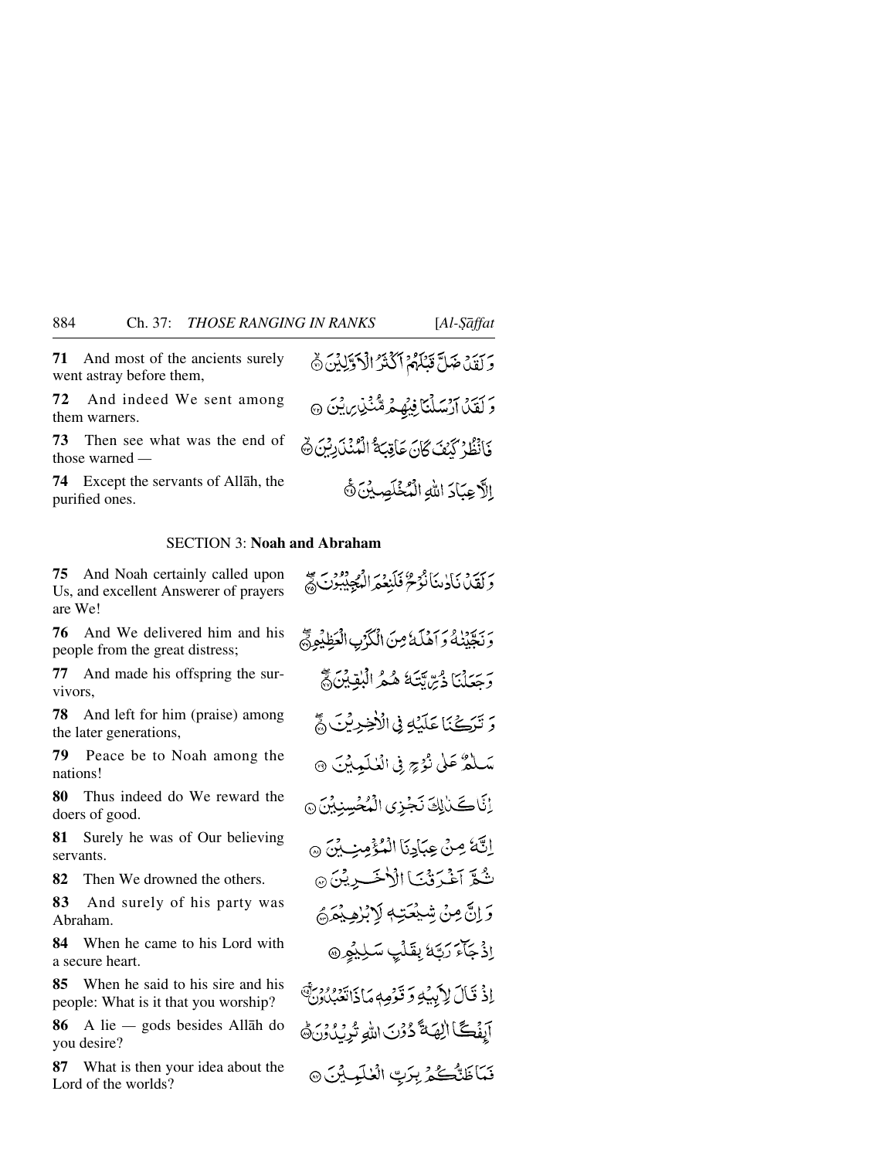**71** And most of the ancients surely went astray before them,

**72** And indeed We sent among them warners.

**73** Then see what was the end of those warned *—*

**74** Except the servants of Allåh, the purified ones.

# SECTION 3: **Noah and Abraham**

**75** And Noah certainly called upon Us, and excellent Answerer of prayers are We!

**76** And We delivered him and his people from the great distress;

**77** And made his offspring the survivors,

**78** And left for him (praise) among the later generations,

**79** Peace be to Noah among the nations!

**80** Thus indeed do We reward the doers of good.

**81** Surely he was of Our believing servants.

**82** Then We drowned the others.

**83** And surely of his party was Abraham.

**84** When he came to his Lord with a secure heart.

**85** When he said to his sire and his people: What is it that you worship?

**86** A lie *—* gods besides Allåh do you desire?

**87** What is then your idea about the Lord of the worlds?

وَلَقَدْ صَلَّ قَتَلَهُمْ أَكْثَرُ الْأَوَّلِيْنَ ۞ وَ كَيْنَ أَرْسَلْنَا فِيَهِمْ مُّنْ يِنْ مِنْ مَنْ هَذَا فَأَنْظُرْ كَنْفَ كَانَ عَاقِبَةُ الْمُنْذَرِبِنَ ۞ الأجبادَ الله السُخْلَصِينَ ﴾

رَبِّدَهُ بَأَدْيَنَانُوْحُ فَلَيْعُمَرَ الْمُجِيْبُونَ لَهُمْ

رَبِيَّنِهُ وَ اَهْلَهُ مِنَ الْكَرْبِ الْعَظِيْمِ مَّ

بَرْسَيْنَا ذَبِرْتَتَهُ هُمُرُ الْبُقِيْنَ ﴾

دَ تَرَكْنَا عَلَيْهِ فِي الْأَخِيرِيْنَ ڇَّ

سَلْمٌ عَلَى نُؤْجٍ فِي الْعُلَمِينِيَ ۞

إِنَّاكَتْلِكَ نَجْزِى الْمُحْسِنِيْنَ۞

اِنَّةً مِنْ عِبَادِنَا الْمُؤْمِنِ بِنَ ۞ ثُبُّعَ آغْيَرَ ثَنَـٰا الْأَخْسَـٰرِيْنَ ۞ وَ إِنَّ مِنْ شَيْعَتِهِ لَا بُرْهِيْهَمْ ٳۮ۬ڄؘٲٶؘڗؾ۪ۜڐڔؠڦٙڵؘؼ۪ۘٮٮڵڸؽ۬ٶۣ۞

إِذْ قَالَ لِأَبِيَٰهِ وَقَوْمِهِ مَاذَاتَعْبُلُونَ ۚ آبِفَكَّا الِهَةَ دُوْنَ اللهِ تُدِرُدُونَ هَ فَعَاظَنَّكُمُّ بِرَبِّ الْعٰلَمِيِّينَ @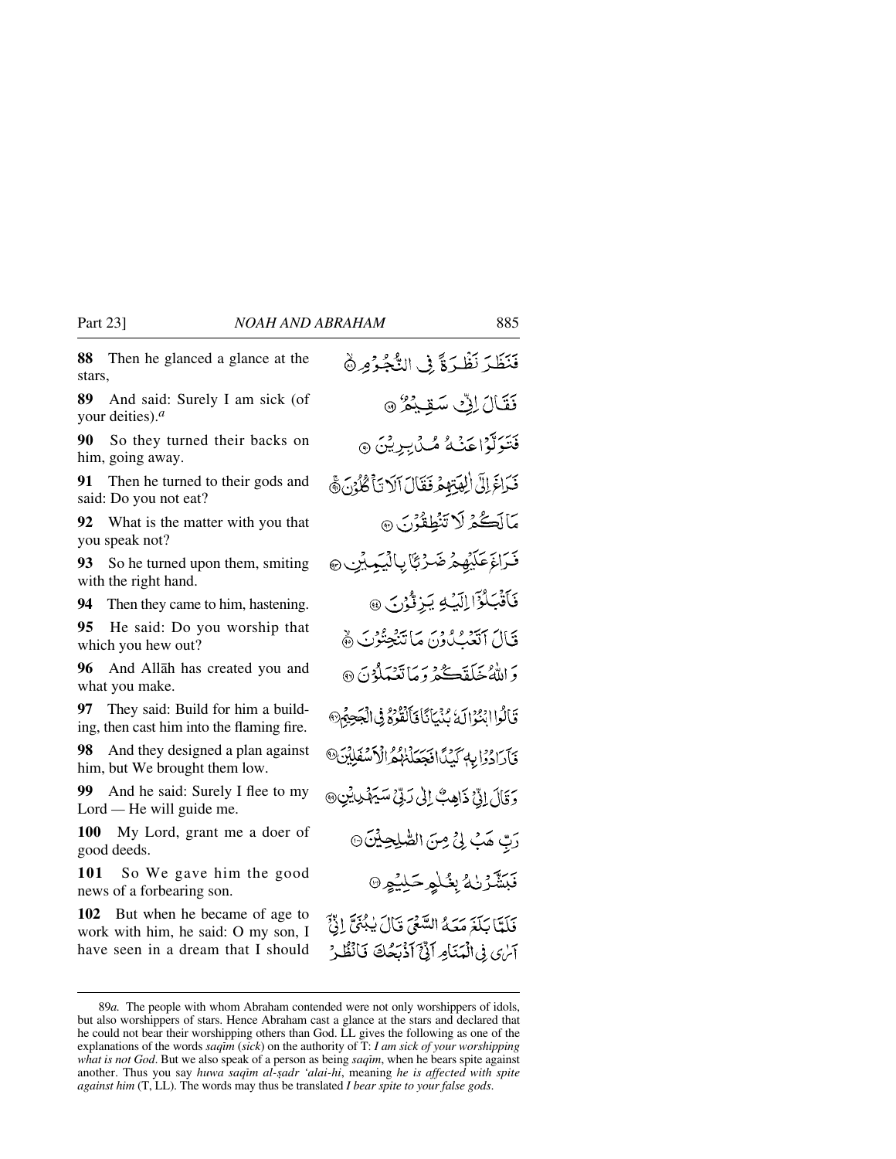**88** Then he glanced a glance at the stars,

**89** And said: Surely I am sick (of your deities).*<sup>a</sup>*

**90** So they turned their backs on him, going away.

**91** Then he turned to their gods and said: Do you not eat?

**92** What is the matter with you that you speak not?

**93** So he turned upon them, smiting with the right hand.

**94** Then they came to him, hastening.

**95** He said: Do you worship that which you hew out?

**96** And Allåh has created you and what you make.

**97** They said: Build for him a building, then cast him into the flaming fire.

**98** And they designed a plan against him, but We brought them low.

**99** And he said: Surely I flee to my Lord *—* He will guide me.

**100** My Lord, grant me a doer of good deeds.

**101** So We gave him the good news of a forbearing son.

**102** But when he became of age to work with him, he said: O my son, I have seen in a dream that I should

فَنَظَرَ نَظْرَةً فِي النُّجُوُمِ ۞ قَقَالَ لِقِّ سَقِيْعُ ۞ فَتَوَلَّوْاعَنْهُ مُّدَٰبِرِيْنَ ۞ فَيَاخَ إِلَى الْقِيَّةِ هُ فَقَالَ آلَا تَأْكُلُوْنَ هُ مَالَڪُمْ لَا تَنْطِقُوْنَ ۞ فَرَاغَ عَلَيْهِمْ ضَرْبًا بِالْيَمِيْنِ ۞ فَأَقْبَلُوْٓا اِلَيۡهِ يَهۡ وَّكۡدُنَ ۞ قَالَ الْتَبْلُونَ مَاتَنْجِتُوْنَ ﴾ وَاللَّهُ خَلَقَكُمْ وَمَاتَعْمَلُوْنَ ۞ تَأْلُوا انْتَوْالَهُ نُنْهَانَاً فَأَلْقُوْهُمْ فِي الْجَحِيمُ® فَأَرَادُوْا بِهِ كَيْدًا فَجَعَلْنَهُمُّ الْأَسْفَلِيْنَ® وَقَالَ إِنِّي ذَاهِبٌ إِلَىٰ رَبِّيٌ سَيَهْدِينِينَ رَبِّ هَبُ لِيُّ مِنَ الصَّلِحِيْنَ ۞ نَبَشَّرْنْهُ بِغُلْمٍكَلِيُو® فَلَتَّا بَلَغَ مَعَهُ السَّعْرَ قَالَ بِبُنَيَّ إِذَّ آمري في الْمَنَامِ أَنَّىٰٓ أَذْبَحُكَ فَأَنْظُرُ

<sup>89</sup>*a.* The people with whom Abraham contended were not only worshippers of idols, but also worshippers of stars. Hence Abraham cast a glance at the stars and declared that he could not bear their worshipping others than God. LL gives the following as one of the explanations of the words *saqim* (*sick*) on the authority of T: *I am sick of your worshipping what is not God*. But we also speak of a person as being *saqim*, when he bears spite against another. Thus you say *huwa saqim al-şadr 'alai-hi*, meaning *he is affected with spite against him* (T, LL). The words may thus be translated *I bear spite to your false gods*.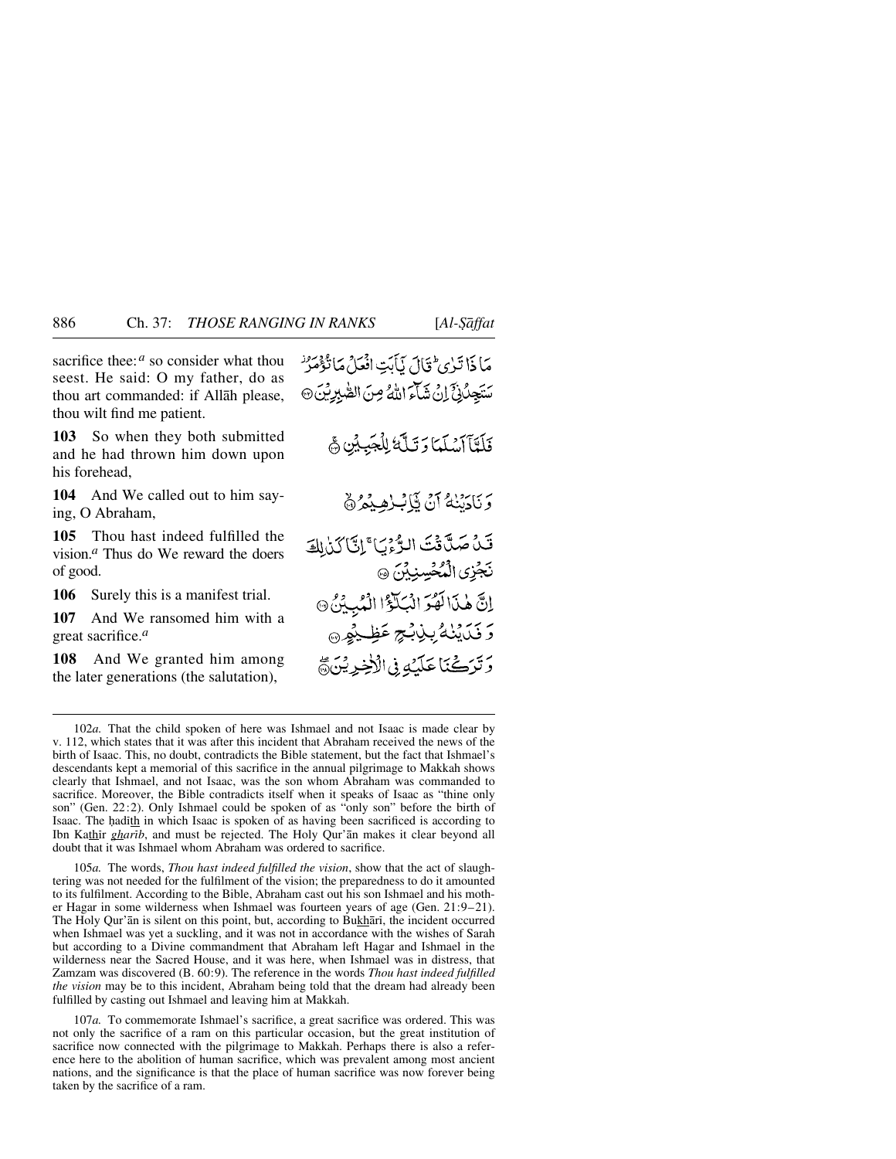sacrifice thee:<sup>*a*</sup> so consider what thou seest. He said: O my father, do as thou art commanded: if Allåh please, thou wilt find me patient.

**103** So when they both submitted and he had thrown him down upon his forehead,

**104** And We called out to him saying, O Abraham,

**105** Thou hast indeed fulfilled the vision.*<sup>a</sup>* Thus do We reward the doers of good.

**106** Surely this is a manifest trial.

**107** And We ransomed him with a great sacrifice.*<sup>a</sup>*

**108** And We granted him among the later generations (the salutation),

مَا ذَا تَبْرِي ثَقَالَ يَأْبَتِ افْعَلْ مَانْذُهُمْ ُ سَتَجِلُلْ َإِنْ شَاءَ اللَّهُ مِنَ الصُّبْرِيْنَ @

فَلَتَآآسُلَمَا وَتَلَّهُ لِلْجَبِيْنِ هَي

وَنَادَيْنَهُ أَنْ يَالِبُ لِمِيْمُ ﴾

قَنْ صَلَّاقَتَ الرُّءُيَا ۚ إِنَّ كَنَالِكَ نَجَزِي الْمُحْسِنِينَ ۞ إِنَّ هَٰذَا لَهُوَ الْبَلَوْۚا الْمُبِيِّنُ ۞ رَ ذَرَيْنُهُ بِنِ بِهِجٍ عَظِيْمٍ رَّتَرَكْنَا عَلَيْهِ فِى الْأَخِرِيْنَ ﴾

105*a.* The words, *Thou hast indeed fulfilled the vision*, show that the act of slaughtering was not needed for the fulfilment of the vision; the preparedness to do it amounted to its fulfilment. According to the Bible, Abraham cast out his son Ishmael and his mother Hagar in some wilderness when Ishmael was fourteen years of age (Gen. 21:9–21). The Holy Qur'an is silent on this point, but, according to Bukhari, the incident occurred when Ishmael was yet a suckling, and it was not in accordance with the wishes of Sarah but according to a Divine commandment that Abraham left Hagar and Ishmael in the wilderness near the Sacred House, and it was here, when Ishmael was in distress, that Zamzam was discovered (B. 60:9). The reference in the words *Thou hast indeed fulfilled the vision* may be to this incident, Abraham being told that the dream had already been fulfilled by casting out Ishmael and leaving him at Makkah.

107*a.* To commemorate Ishmael's sacrifice, a great sacrifice was ordered. This was not only the sacrifice of a ram on this particular occasion, but the great institution of sacrifice now connected with the pilgrimage to Makkah. Perhaps there is also a reference here to the abolition of human sacrifice, which was prevalent among most ancient nations, and the significance is that the place of human sacrifice was now forever being taken by the sacrifice of a ram.

<sup>102</sup>*a.* That the child spoken of here was Ishmael and not Isaac is made clear by v. 112, which states that it was after this incident that Abraham received the news of the birth of Isaac. This, no doubt, contradicts the Bible statement, but the fact that Ishmael's descendants kept a memorial of this sacrifice in the annual pilgrimage to Makkah shows clearly that Ishmael, and not Isaac, was the son whom Abraham was commanded to sacrifice. Moreover, the Bible contradicts itself when it speaks of Isaac as "thine only son" (Gen. 22:2). Only Ishmael could be spoken of as "only son" before the birth of Isaac. The hadith in which Isaac is spoken of as having been sacrificed is according to Ibn Kathir *gharib*, and must be rejected. The Holy Qur'an makes it clear beyond all doubt that it was Ishmael whom Abraham was ordered to sacrifice.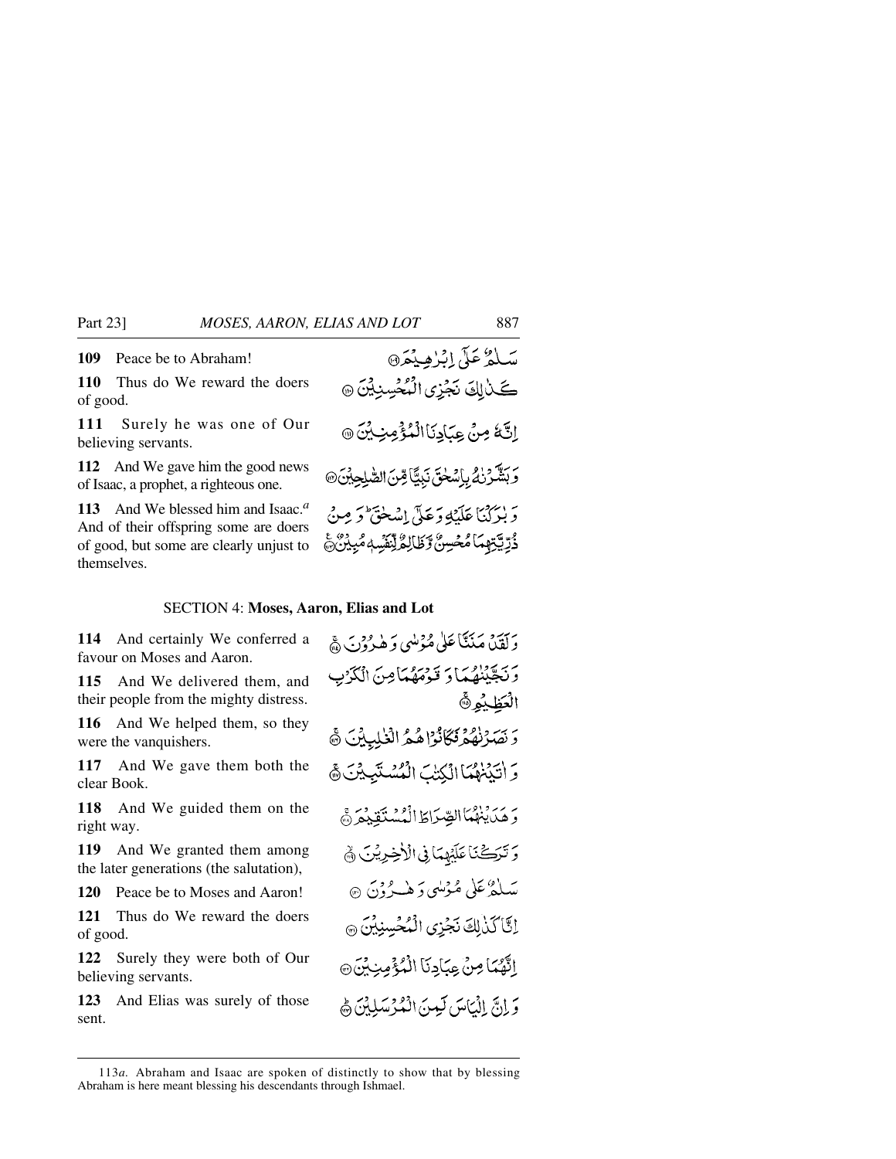**109** Peace be to Abraham!

**110** Thus do We reward the doers of good.

**111** Surely he was one of Our believing servants.

**112** And We gave him the good news of Isaac, a prophet, a righteous one.

**113** And We blessed him and Isaac.*<sup>a</sup>* And of their offspring some are doers of good, but some are clearly unjust to themselves.

#### SECTION 4: **Moses, Aaron, Elias and Lot**

**114** And certainly We conferred a favour on Moses and Aaron.

**115** And We delivered them, and their people from the mighty distress.

**116** And We helped them, so they were the vanquishers.

**117** And We gave them both the clear Book.

**118** And We guided them on the right way.

**119** And We granted them among the later generations (the salutation),

**120** Peace be to Moses and Aaron!

**121** Thus do We reward the doers of good.

**122** Surely they were both of Our believing servants.

**123** And Elias was surely of those sent.

بِرَ بِيَرْهِ مَنَتَنَاعَلْيِ مُؤْمِنِي وَ هٰذِ وَدِينَ ﴾ وَنَجَّيْنَهُمَا وَ قَوْمَهُمَا مِنَ الْكَرْبِ الْعَظِيْمِ۞ وَنَصَرْنَهُمْ فَكَانُواْ هُمُ الْكَلِيلِينَ ﴾ وَ أَتَيۡنَٰهُمَاۤالۡكِتَٰٮَ الۡمُّسۡنَبِيۡنَ ﴾ بِرَ بِرِّبِهِمَاالصِّرَاطَ الْمُسْتَقِيْعَرَدَّ وَتَرَكَّنَا عَلَيْهِمَانِي الْأَخِرِيْنَ ﴾ سَلْفُرْعَلْي مُؤْلِينِي دَ هٰبِدْ دُوْنَ ۞ إِنَّا كَذَٰلِكَ نَجْزِى الْمُحْسِنِيْنَ ۞ إِنَّهُمَا مِنْ عِبَادِنَا الْمُؤْمِنِيِّنَ® وَ إِنَّ إِنَّ بَالْيَامَ كَبِينَ ادْمُ وَسَلِلْنَ هَٰ

<sup>113</sup>*a.* Abraham and Isaac are spoken of distinctly to show that by blessing Abraham is here meant blessing his descendants through Ishmael.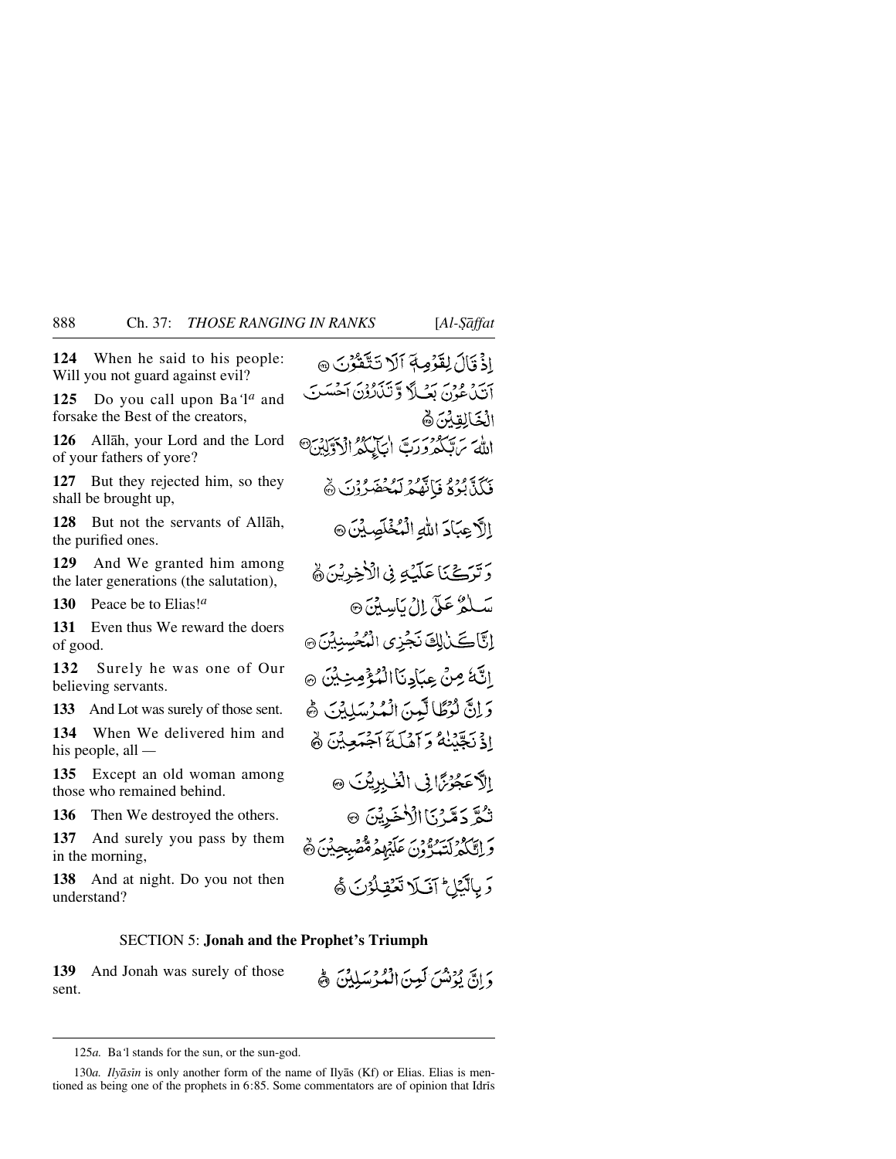**124** When he said to his people: Will you not guard against evil?

**125** Do you call upon Ba*'*l*<sup>a</sup>* and forsake the Best of the creators,

**126** Allåh, your Lord and the Lord of your fathers of yore?

**127** But they rejected him, so they shall be brought up,

**128** But not the servants of Allåh, the purified ones.

**129** And We granted him among the later generations (the salutation),

**130** Peace be to Elias!*<sup>a</sup>*

**131** Even thus We reward the doers of good.

**132** Surely he was one of Our believing servants.

**133** And Lot was surely of those sent.

**134** When We delivered him and his people, all *—*

**135** Except an old woman among those who remained behind.

**136** Then We destroyed the others.

**137** And surely you pass by them in the morning,

**138** And at night. Do you not then understand?

#### SECTION 5: **Jonah and the Prophet's Triumph**

**139** And Jonah was surely of those sent.

وَ بِالْبَيْلِ ۚ آفَىلَا تَعۡقِلُوۡنَ ﴾

دَ إِنَّ يُؤْتُسُ لَمِينَ الْمُدْسَلِيْنَ ﴾

اذْ تَالَ لِقَرْمِهِ آلَا تَتَّقَرُّنَ ٥ أَتَيْدُعُونَ بَعْبِيلاً وَتَنْأَرُونَ أَحْسَبَ الْخَالِقِدْ: ﴿ اللهَ بِٱلْكَرُورَتَ أَيَأْبَكُمُ الْآوَلِيْنَ@ ئَكَذَّبُوَةُ فَإِنَّهُمُ لَمُخْضَرُوْنَ ﴾ اللَّا عِبَادَ اللهِ الْمُخْلَصِيْنَ ۞ رَّتَرَكَّنَا عَلَيْهِ فِي الْأَخِرِيْنَ ﴾ سَلْمُ عَلَى إِلْ بَاسِينَ ۞ إِنَّآكَلْ لِكَ نَجْزِى الْمُحْسِنِيْنَ ۞ الثَّةُ مِنْ عِبَادِنَاالْمُؤْمِنِينِينَ ۞ وَلِنَّ لَوْظَالَيْسَ الْمُرْسَلِيْنَ ﴾ اذْنَجَّنْنَهُ وَآهُلُّهَ آَجُمَعِيْنَ ﴾ اِلاَّ عَجُوْمَّانِي الْغُـٰبِرِيْنَ ۞ تْكُرَّ دَمَّرْنَا الْأَخَيرِيْنَ ۞ وَ إِقَّاكُمْ لَتَعَدُّوْنَ عَلَيْهِمْ مُّصْبِحِيْنَ ۞

<sup>125</sup>*a.* Ba*'*l stands for the sun, or the sun-god.

<sup>130</sup>*a. Ilyåsßn* is only another form of the name of Ilyås (Kf) or Elias. Elias is mentioned as being one of the prophets in  $6:85$ . Some commentators are of opinion that Idris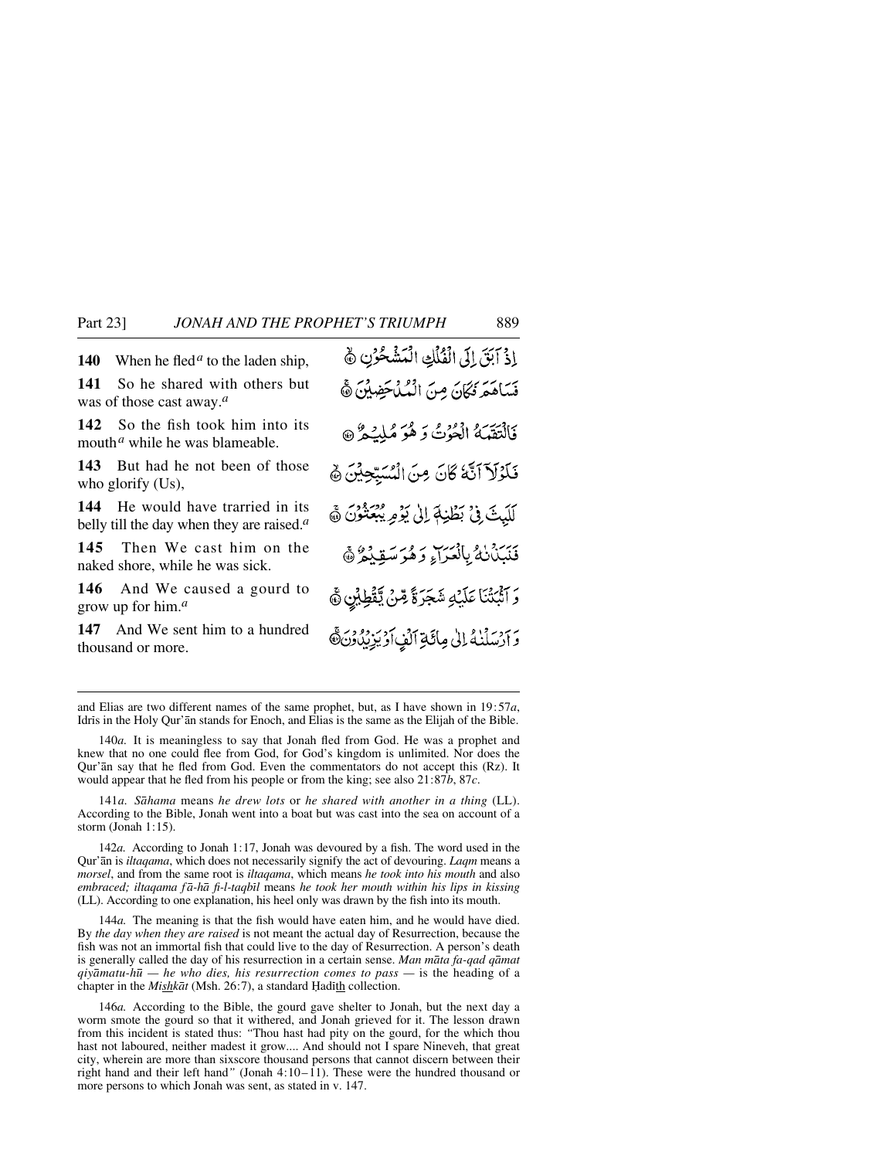**140** When he fled<sup>*a*</sup> to the laden ship,

**141** So he shared with others but was of those cast away.*<sup>a</sup>*

**142** So the fish took him into its mouth*<sup>a</sup>* while he was blameable.

**143** But had he not been of those who glorify (Us),

**144** He would have trarried in its belly till the day when they are raised.*<sup>a</sup>*

**145** Then We cast him on the naked shore, while he was sick.

**146** And We caused a gourd to grow up for him.*<sup>a</sup>*

**147** And We sent him to a hundred thousand or more.

and Elias are two different names of the same prophet, but, as I have shown in 19:57*a*, Idris in the Holy Qur'an stands for Enoch, and Elias is the same as the Elijah of the Bible.

141*a. Såhama* means *he drew lots* or *he shared with another in a thing* (LL). According to the Bible, Jonah went into a boat but was cast into the sea on account of a storm (Jonah 1:15).

142*a.* According to Jonah 1:17, Jonah was devoured by a fish. The word used in the Qur'ån is *iltaqama*, which does not necessarily signify the act of devouring. *Laqm* means a *morsel*, and from the same root is *iltaqama*, which means *he took into his mouth* and also *embraced; iltaqama f å-hå fi-l-taqbßl* means *he took her mouth within his lips in kissing* (LL). According to one explanation, his heel only was drawn by the fish into its mouth.

144*a.* The meaning is that the fish would have eaten him, and he would have died. By *the day when they are raised* is not meant the actual day of Resurrection, because the fish was not an immortal fish that could live to the day of Resurrection. A person's death is generally called the day of his resurrection in a certain sense. *Man måta fa-qad qåmat qiyåmatu-h∂ — he who dies, his resurrection comes to pass —* is the heading of a chapter in the *Mishkāt* (Msh. 26:7), a standard Hadith collection.

146*a.* According to the Bible, the gourd gave shelter to Jonah, but the next day a worm smote the gourd so that it withered, and Jonah grieved for it. The lesson drawn from this incident is stated thus: *"*Thou hast had pity on the gourd, for the which thou hast not laboured, neither madest it grow.... And should not I spare Nineveh, that great city, wherein are more than sixscore thousand persons that cannot discern between their right hand and their left hand*"* (Jonah 4:10–11). These were the hundred thousand or more persons to which Jonah was sent, as stated in v. 147.

إِذْ آبَقَ إِلَى الْفُلْكِ الْمَشْحُرُنِ ﴾ فَسَاهَمَ فَكَانَ مِنَ الْمُلْحَضِينَ ﴾ فَالْتَقَبَّمُ الْحُوْتُ وَ هُوَ مُلِيَحْرٌ ۞ فَلَوْلَآ أَنَّهُ كَانَ مِنَ الْسُيِّحِيْنَ ﴾ لَلَيْتَ فِي بَطْنِهَ إِلَىٰ يَؤْمِرِ يُبْعَثُوْنَ ﴾ بَهْرَدُهُ بِالْعَرَاءِ وَهُوَ سَقِيْدُهُ ﴾ رَ آَثْبَتْنَا عَلَيْهِ شَجَرَةً مِّنْ يَّقْطِبُنِ ۞ وَارْسَلْنَهُ إِلَىٰ مِائَةِ اَلَفٍ أَوْيَزِيْدُوْنَ،

<sup>140</sup>*a.* It is meaningless to say that Jonah fled from God. He was a prophet and knew that no one could flee from God, for God's kingdom is unlimited. Nor does the Qur'ån say that he fled from God. Even the commentators do not accept this (Rz). It would appear that he fled from his people or from the king; see also 21:87*b*, 87*c*.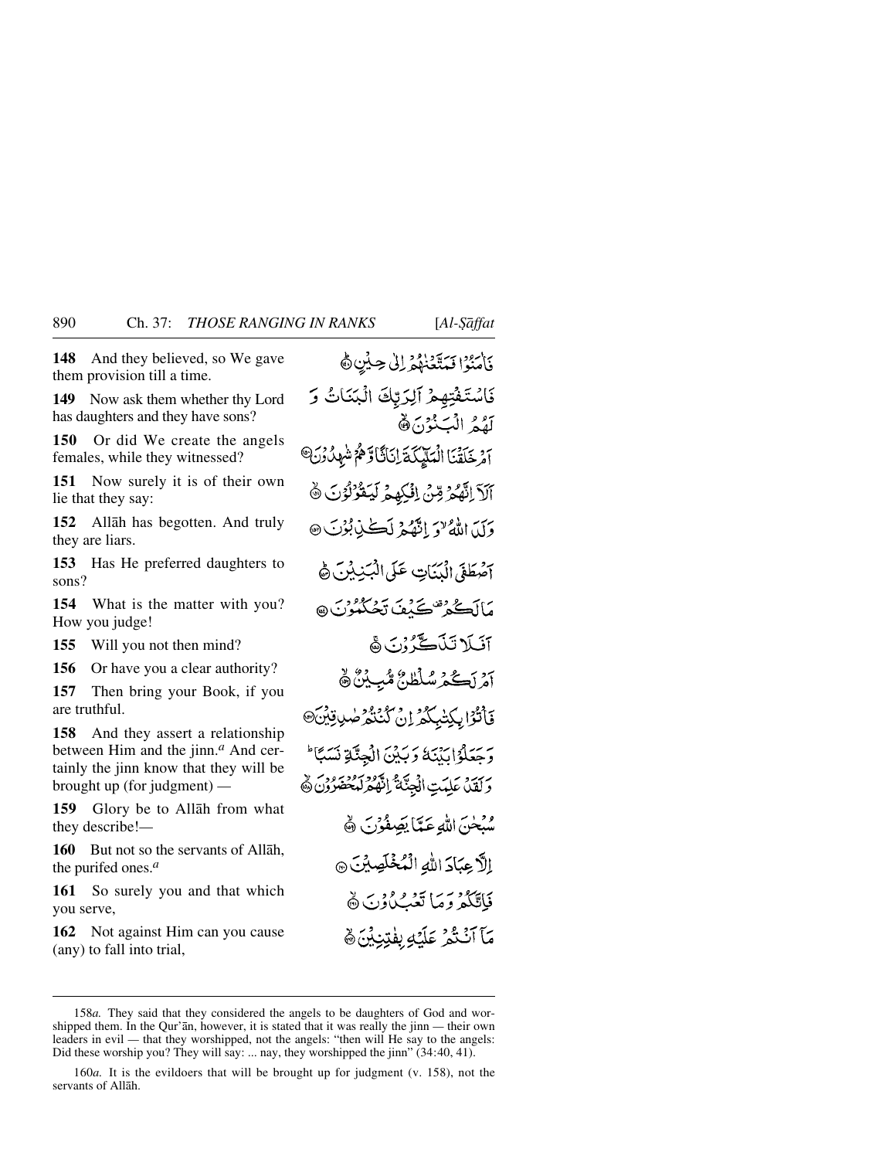**148** And they believed, so We gave them provision till a time.

**149** Now ask them whether thy Lord has daughters and they have sons?

**150** Or did We create the angels females, while they witnessed?

**151** Now surely it is of their own lie that they say:

**152** Allåh has begotten. And truly they are liars.

**153** Has He preferred daughters to sons?

**154** What is the matter with you? How you judge!

**155** Will you not then mind?

**156** Or have you a clear authority?

**157** Then bring your Book, if you are truthful.

**158** And they assert a relationship between Him and the jinn.*<sup>a</sup>* And certainly the jinn know that they will be brought up (for judgment) *—*

**159** Glory be to Allåh from what they describe!*—*

**160** But not so the servants of Allåh, the purifed ones.*<sup>a</sup>*

**161** So surely you and that which you serve,

**162** Not against Him can you cause (any) to fall into trial,

بَاسْتِهُ الْمَتَعَنَّهُمْ إِلَى حِيثِنِ ﴾ فَاسْتَفْتِهِمْ آلِرَتِكَ الْبَنَاتُ وَ لَّقُمُ الْبَنْوْنَ فَ آمْ خَلَقْنَا الْمَلَيْكَةَ إِنَانَّاً وَهُمْ شَهِدُّنِنَ<sup>0</sup> آلَآ اِنَّهُمُ مِّنْ اِفْكِهِمْ لِّيَقُرُّلُوۡنَ ۞ وَلَدَ اللَّهُ لَا أَنَّهُ لَهُ لَكُنَّ بُوْتَ ۞ آصطَفَىٰ الْبَيِّنَاتِ عَلَىٰ الْبَيْنِيْنَ هَ مَاأَڪُهُ قَصَيْفَ تَحْبُدُونَ ۞ آفيكا تَذَكَّ ذُنَ هُ م نڪه سلطانُ مُبِينُ ۾ فَأَنْزَا بِكِتْبِكُمُ إِنْ كُنْنُكُرْ صَٰبِ قِيْنَ وَحَعَلُوْا بَدْنَهُ وَبَدْنَ الْجِنَّةِ نَسَبًا لَهُ رَبِّيْهِ عَلِيْتِ الْجِنَّةُ إِنَّهُمْ لَيَحْتَرُوْنَ ﴾ وفراس اللهِ عَيَّا يَصِفُوْنَ ﴾ إِلَّا عِبَادَ اللهِ الْمُخْلَصِينَ @ فَاتَّكُمْ وَمَا تَعْبُلُوْنَ ۞ مَآ آَنْتُمْ عَلَيْهِ بِفْتِنِيْنَ ٥

<sup>158</sup>*a.* They said that they considered the angels to be daughters of God and worshipped them. In the Qur'ån, however, it is stated that it was really the jinn *—* their own leaders in evil *—* that they worshipped, not the angels: "then will He say to the angels: Did these worship you? They will say: ... nay, they worshipped the jinn" (34:40, 41).

<sup>160</sup>*a.* It is the evildoers that will be brought up for judgment (v. 158), not the servants of Allåh.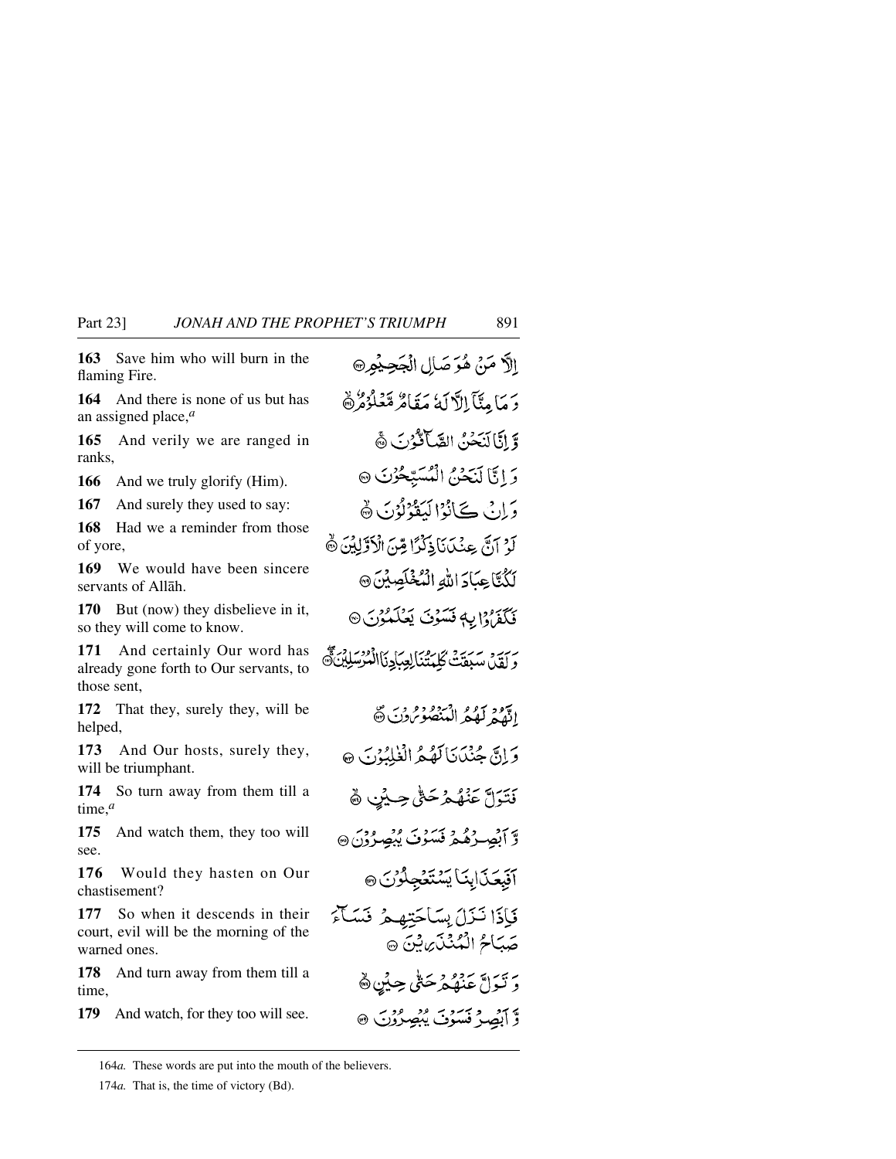**163** Save him who will burn in the flaming Fire.

**164** And there is none of us but has an assigned place,*<sup>a</sup>*

**165** And verily we are ranged in ranks,

**166** And we truly glorify (Him).

**167** And surely they used to say:

**168** Had we a reminder from those of yore,

**169** We would have been sincere servants of Allåh.

**170** But (now) they disbelieve in it, so they will come to know.

**171** And certainly Our word has already gone forth to Our servants, to those sent,

**172** That they, surely they, will be helped,

**173** And Our hosts, surely they, will be triumphant.

**174** So turn away from them till a time,*<sup>a</sup>*

**175** And watch them, they too will see.

**176** Would they hasten on Our chastisement?

**177** So when it descends in their court, evil will be the morning of the warned ones.

**178** And turn away from them till a time,

**179** And watch, for they too will see.

الاَّ مَنْ هُوَ صَالِ الْجَحِيْمِ۞ دَ مَا مِتَآ الْآلَةُ مَقَامٌ مَّعۡلُوْهُ ۚ وَّ إِنَّا أَيَبَحْنُ الصَّبَانَّةُ ٰ رَبِّ هَجْ وَ إِنَّا لَنَحْنُ الْمُسَبِّحُونَ ۞ وَإِنْ كَيْأَنُوْالْدَعْوْنُوْنَ ۞ لَوْ آرَبَّ عِنْكَآنَا ذِكْرًا مِّنَ الْأَوَّلِيْنَ ۞ لَكُنَّا عِبَادَ اللَّهِ الْمُخْلَصِيْنَ @ فَكَفَرَهُ إِلِهِ فَسَوْنَ يَعْلَمُوْنَ @ بِرِيِّي سَيَعَتْ كَلِيتُنَالِعِيَادِنَاالْمُرْسَلِيْنَ ﴾ ادَّهُمْ لَهُمُّ الْمَنْصُوبُونَ ۞ وَإِنَّ جُنْدَيَا لَهُ هُهُ الْغُلْبُوْبَ ۞ نَتَرَلَّ عَنْهُمْ حَتَّى حِيْنٍ ﴾ و آبصِرُهُمْ نَسَوْنَ يُبْصِرُوْنَ @ آفَبِعَنَابِنَا يَسْتَغْجِلُوْنَ @ فَإِذَا نَذَلَ بِسَاحَتِهِمْ فَسَأَءَ صَبَاحُ الْمُنْذَى بِنَ ﴾ دِ نَبَراهٌ عَنْهُمْ حَتَّى حِيثِنِ هَ و آهي فسوت موضورت @

164*a.* These words are put into the mouth of the believers.

174*a.* That is, the time of victory (Bd).